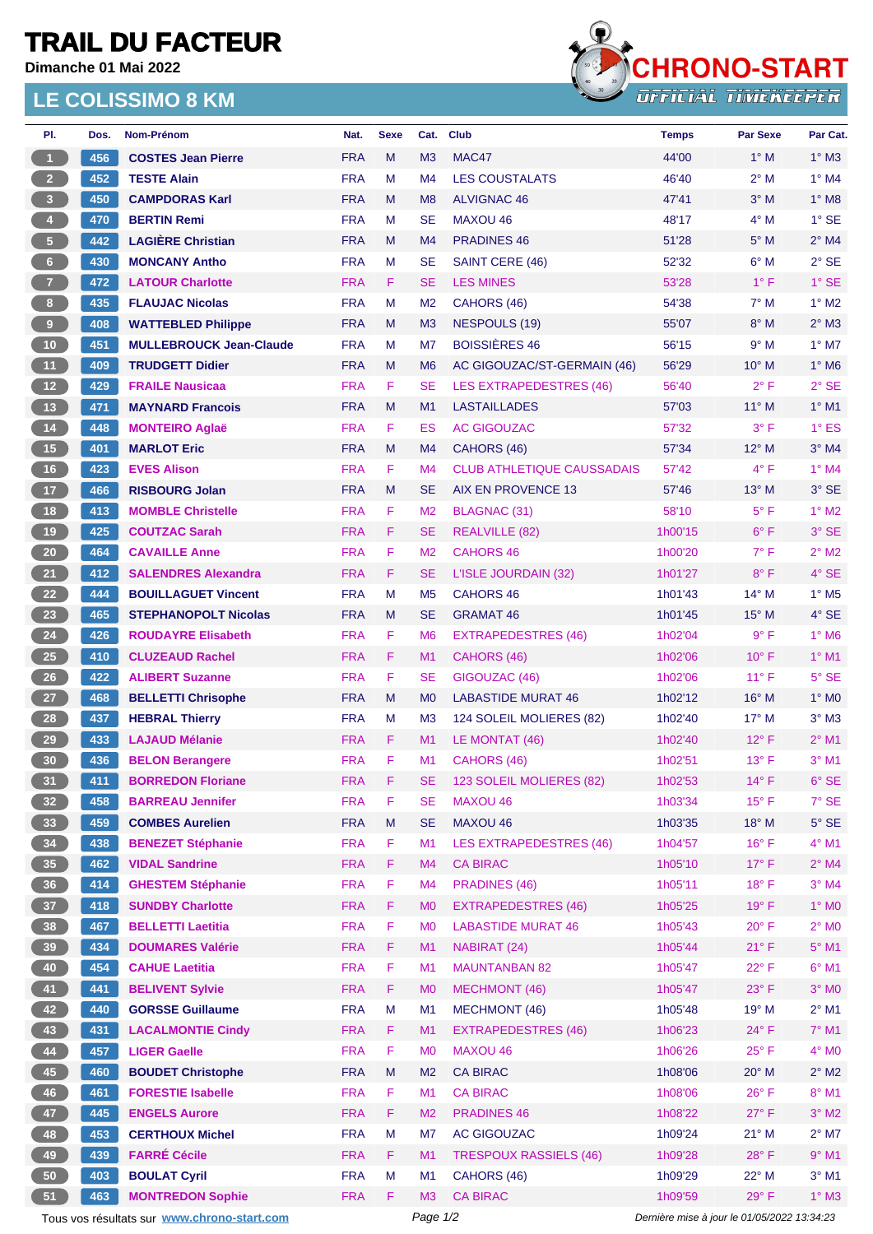## **TRAIL DU FACTEUR**

**Dimanche 01 Mai 2022**

## **LE COLISSIMO 8 KM**



| PI.                                         | Dos. | Nom-Prénom                     | Nat.       | <b>Sexe</b> | Cat.           | <b>Club</b>                       | <b>Temps</b>                                | <b>Par Sexe</b> | Par Cat.                 |
|---------------------------------------------|------|--------------------------------|------------|-------------|----------------|-----------------------------------|---------------------------------------------|-----------------|--------------------------|
| $\vert$ 1                                   | 456  | <b>COSTES Jean Pierre</b>      | <b>FRA</b> | M           | M <sub>3</sub> | MAC47                             | 44'00                                       | $1^\circ$ M     | $1^\circ$ M3             |
| 2 <sup>2</sup>                              | 452  | <b>TESTE Alain</b>             | <b>FRA</b> | м           | M <sub>4</sub> | <b>LES COUSTALATS</b>             | 46'40                                       | 2° M            | $1^\circ$ M4             |
| $\overline{\mathbf{3}}$                     | 450  | <b>CAMPDORAS Karl</b>          | <b>FRA</b> | M           | M <sub>8</sub> | <b>ALVIGNAC 46</b>                | 47'41                                       | $3^\circ$ M     | $1^\circ$ M8             |
| $\overline{4}$                              | 470  | <b>BERTIN Remi</b>             | <b>FRA</b> | M           | <b>SE</b>      | <b>MAXOU 46</b>                   | 48'17                                       | $4^\circ$ M     | $1^\circ$ SE             |
| 5 <sup>2</sup>                              | 442  | <b>LAGIERE Christian</b>       | <b>FRA</b> | M           | M <sub>4</sub> | <b>PRADINES 46</b>                | 51'28                                       | $5^\circ$ M     | $2^{\circ}$ M4           |
| 6 <sup>1</sup>                              | 430  | <b>MONCANY Antho</b>           | <b>FRA</b> | M           | <b>SE</b>      | SAINT CERE (46)                   | 52'32                                       | $6^{\circ}$ M   | $2°$ SE                  |
| 7 <sup>2</sup>                              | 472  | <b>LATOUR Charlotte</b>        | <b>FRA</b> | F           | SE             | <b>LES MINES</b>                  | 53'28                                       | $1^{\circ}$ F   | $1^\circ$ SE             |
| 8 <sub>1</sub>                              | 435  | <b>FLAUJAC Nicolas</b>         | <b>FRA</b> | М           | M <sub>2</sub> | CAHORS (46)                       | 54'38                                       | $7^\circ$ M     | $1^\circ$ M2             |
| 9 <sup>2</sup>                              | 408  | <b>WATTEBLED Philippe</b>      | <b>FRA</b> | М           | M <sub>3</sub> | <b>NESPOULS (19)</b>              | 55'07                                       | $8^\circ$ M     | $2^{\circ}$ M3           |
| 10 <sub>1</sub>                             | 451  | <b>MULLEBROUCK Jean-Claude</b> | <b>FRA</b> | M           | M7             | <b>BOISSIÈRES 46</b>              | 56'15                                       | 9° M            | $1^\circ$ M7             |
| 11 <sub>1</sub>                             | 409  | <b>TRUDGETT Didier</b>         | <b>FRA</b> | М           | M <sub>6</sub> | AC GIGOUZAC/ST-GERMAIN (46)       | 56'29                                       | $10^{\circ}$ M  | $1^\circ$ M6             |
| 12 <sup>7</sup>                             | 429  | <b>FRAILE Nausicaa</b>         | <b>FRA</b> | F           | SE             | <b>LES EXTRAPEDESTRES (46)</b>    | 56'40                                       | $2^{\circ}$ F   | $2°$ SE                  |
| 13                                          | 471  | <b>MAYNARD Francois</b>        | <b>FRA</b> | M           | M <sub>1</sub> | <b>LASTAILLADES</b>               | 57'03                                       | $11^{\circ}$ M  | $1^\circ$ M1             |
| 14                                          | 448  | <b>MONTEIRO Aglaë</b>          | <b>FRA</b> | F           | ES             | <b>AC GIGOUZAC</b>                | 57'32                                       | $3^{\circ}$ F   | $1^\circ$ ES             |
| 15                                          | 401  | <b>MARLOT Eric</b>             | <b>FRA</b> | M           | M <sub>4</sub> | CAHORS (46)                       | 57'34                                       | $12^{\circ}$ M  | $3°$ M4                  |
| 16                                          | 423  | <b>EVES Alison</b>             | <b>FRA</b> | F           | M <sub>4</sub> | <b>CLUB ATHLETIQUE CAUSSADAIS</b> | 57'42                                       | $4^{\circ}$ F   | $1^\circ$ M4             |
| 17 <sup>2</sup>                             | 466  | <b>RISBOURG Jolan</b>          | <b>FRA</b> | M           | SE             | <b>AIX EN PROVENCE 13</b>         | 57'46                                       | $13^\circ$ M    | $3°$ SE                  |
| 18                                          | 413  | <b>MOMBLE Christelle</b>       | <b>FRA</b> | F           | M <sub>2</sub> | <b>BLAGNAC (31)</b>               | 58'10                                       | $5^{\circ}$ F   | $1^\circ$ M2             |
| 19                                          | 425  | <b>COUTZAC Sarah</b>           | <b>FRA</b> | F           | SE             | <b>REALVILLE (82)</b>             | 1h00'15                                     | $6^{\circ}$ F   | $3°$ SE                  |
| 20 <sub>2</sub>                             | 464  | <b>CAVAILLE Anne</b>           | <b>FRA</b> | F           | M <sub>2</sub> | <b>CAHORS 46</b>                  | 1h00'20                                     | $7^{\circ}$ F   | $2^{\circ}$ M2           |
| 21                                          | 412  | <b>SALENDRES Alexandra</b>     | <b>FRA</b> | F.          | SE.            | L'ISLE JOURDAIN (32)              | 1h01'27                                     | $8^{\circ}$ F   | $4°$ SE                  |
| 22                                          | 444  | <b>BOUILLAGUET Vincent</b>     | <b>FRA</b> | м           | M <sub>5</sub> | <b>CAHORS 46</b>                  | 1h01'43                                     | $14^{\circ}$ M  | $1^\circ$ M <sub>5</sub> |
| 23                                          | 465  | <b>STEPHANOPOLT Nicolas</b>    | <b>FRA</b> | M           | SE             | <b>GRAMAT 46</b>                  | 1h01'45                                     | $15^{\circ}$ M  | $4°$ SE                  |
| 24                                          | 426  | <b>ROUDAYRE Elisabeth</b>      | <b>FRA</b> | F           | M <sub>6</sub> | <b>EXTRAPEDESTRES (46)</b>        | 1h02'04                                     | $9^{\circ}$ F   | $1^\circ$ M6             |
| 25                                          | 410  | <b>CLUZEAUD Rachel</b>         | <b>FRA</b> | F           | M1             | CAHORS (46)                       | 1h02'06                                     | $10^{\circ}$ F  | $1^\circ$ M1             |
| 26                                          | 422  | <b>ALIBERT Suzanne</b>         | <b>FRA</b> | F           | <b>SE</b>      | GIGOUZAC (46)                     | 1h02'06                                     | $11^{\circ}$ F  | $5^\circ$ SE             |
| 27                                          | 468  | <b>BELLETTI Chrisophe</b>      | <b>FRA</b> | M           | M <sub>0</sub> | <b>LABASTIDE MURAT 46</b>         | 1h02'12                                     | $16^{\circ}$ M  | $1^\circ$ MO             |
| 28                                          | 437  | <b>HEBRAL Thierry</b>          | <b>FRA</b> | М           | M <sub>3</sub> | 124 SOLEIL MOLIERES (82)          | 1h02'40                                     | $17^{\circ}$ M  | $3°$ M $3$               |
| 29                                          | 433  | <b>LAJAUD Mélanie</b>          | <b>FRA</b> | F           | M1             | LE MONTAT (46)                    | 1h02'40                                     | $12^{\circ}$ F  | $2^{\circ}$ M1           |
| 30                                          | 436  | <b>BELON Berangere</b>         | <b>FRA</b> | F           | M1             | CAHORS (46)                       | 1h02'51                                     | $13^{\circ}$ F  | $3^\circ$ M1             |
| 31)                                         | 411  | <b>BORREDON Floriane</b>       | <b>FRA</b> | F           | SE             | 123 SOLEIL MOLIERES (82)          | 1h02'53                                     | $14^{\circ}$ F  | $6^{\circ}$ SE           |
| 32 <sub>2</sub>                             | 458  | <b>BARREAU Jennifer</b>        | <b>FRA</b> | F           | SE             | MAXOU 46                          | 1h03'34                                     | $15^{\circ}$ F  | $7°$ SE                  |
| 33                                          | 459  | <b>COMBES Aurelien</b>         | <b>FRA</b> | M           | SE             | MAXOU 46                          | 1h03'35                                     | $18^{\circ}$ M  | $5^\circ$ SE             |
| 34                                          | 438  | <b>BENEZET Stéphanie</b>       | <b>FRA</b> | F           | M1             | <b>LES EXTRAPEDESTRES (46)</b>    | 1h04'57                                     | $16^{\circ}$ F  | 4° M1                    |
| 35 <sub>1</sub>                             | 462  | <b>VIDAL Sandrine</b>          | <b>FRA</b> | F           | M4             | <b>CA BIRAC</b>                   | 1h05'10                                     | $17^{\circ}$ F  | $2^{\circ}$ M4           |
| 36 <sup>°</sup>                             | 414  | <b>GHESTEM Stéphanie</b>       | <b>FRA</b> | F           | M <sub>4</sub> | <b>PRADINES (46)</b>              | 1h05'11                                     | $18^{\circ}$ F  | $3°$ M4                  |
| 37 <sup>°</sup>                             | 418  | <b>SUNDBY Charlotte</b>        | <b>FRA</b> | F           | M <sub>0</sub> | <b>EXTRAPEDESTRES (46)</b>        | 1h05'25                                     | 19°F            | $1^\circ$ MO             |
| 38 <sup>°</sup>                             | 467  | <b>BELLETTI Laetitia</b>       | <b>FRA</b> | F           | M <sub>0</sub> | <b>LABASTIDE MURAT 46</b>         | 1h05'43                                     | $20^{\circ}$ F  | $2^\circ$ MO             |
| 39                                          | 434  | <b>DOUMARES Valérie</b>        | <b>FRA</b> | F           | M1             | NABIRAT (24)                      | 1h05'44                                     | $21^{\circ}$ F  | $5^{\circ}$ M1           |
| 40                                          | 454  | <b>CAHUE Laetitia</b>          | <b>FRA</b> | F           | M1             | <b>MAUNTANBAN 82</b>              | 1h05'47                                     | $22^{\circ}$ F  | $6^{\circ}$ M1           |
| 41                                          | 441  | <b>BELIVENT Sylvie</b>         | <b>FRA</b> | F           | M <sub>0</sub> | <b>MECHMONT (46)</b>              | 1h05'47                                     | $23^\circ$ F    | $3°$ MO                  |
| 42                                          | 440  | <b>GORSSE Guillaume</b>        | <b>FRA</b> | M           | M1             | <b>MECHMONT (46)</b>              | 1h05'48                                     | 19° M           | $2^{\circ}$ M1           |
| 43                                          | 431  | <b>LACALMONTIE Cindy</b>       | <b>FRA</b> | F           | M1             | <b>EXTRAPEDESTRES (46)</b>        | 1h06'23                                     | $24^{\circ}$ F  | $7^\circ$ M1             |
| 44                                          | 457  | <b>LIGER Gaelle</b>            | <b>FRA</b> | F           | M <sub>0</sub> | <b>MAXOU 46</b>                   | 1h06'26                                     | $25^{\circ}$ F  | $4^\circ$ MO             |
| 45                                          | 460  | <b>BOUDET Christophe</b>       | <b>FRA</b> | M           | M <sub>2</sub> | <b>CA BIRAC</b>                   | 1h08'06                                     | 20° M           | $2^{\circ}$ M2           |
| 46                                          | 461  | <b>FORESTIE Isabelle</b>       | <b>FRA</b> | F           | M1             | <b>CA BIRAC</b>                   | 1h08'06                                     | $26^{\circ}$ F  | 8° M1                    |
| 47                                          | 445  | <b>ENGELS Aurore</b>           | <b>FRA</b> | F           | M <sub>2</sub> | <b>PRADINES 46</b>                | 1h08'22                                     | $27^{\circ}$ F  | $3^\circ$ M2             |
| 48                                          | 453  | <b>CERTHOUX Michel</b>         | <b>FRA</b> | M           | M7             | <b>AC GIGOUZAC</b>                | 1h09'24                                     | $21°$ M         | $2^{\circ}$ M7           |
| 49                                          | 439  | <b>FARRÉ Cécile</b>            | <b>FRA</b> | F           | M <sub>1</sub> | <b>TRESPOUX RASSIELS (46)</b>     | 1h09'28                                     | $28^{\circ}$ F  | $9°$ M1                  |
| 50                                          | 403  | <b>BOULAT Cyril</b>            | <b>FRA</b> | M           | M <sub>1</sub> | CAHORS (46)                       | 1h09'29                                     | 22° M           | $3°$ M1                  |
| 51                                          | 463  | <b>MONTREDON Sophie</b>        | <b>FRA</b> | F           | M3             | <b>CA BIRAC</b>                   | 1h09'59                                     | $29^\circ$ F    | $1^\circ$ M3             |
| Tous vos résultats sur www.chrono-start.com |      |                                |            |             | Page 1/2       |                                   | Dernière mise à jour le 01/05/2022 13:34:23 |                 |                          |